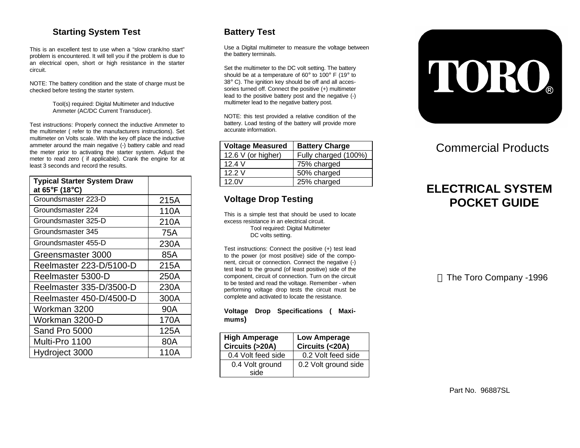## **Starting System Test**

This is an excellent test to use when a "slow crank/no start" problem is encountered. It will tell you if the problem is due to an electrical open, short or high resistance in the starter circuit.

NOTE: The battery condition and the state of charge must be checked before testing the starter system.

> Tool(s) required: Digital Multimeter and Inductive Ammeter (AC/DC Current Transducer).

Test instructions: Properly connect the inductive Ammeter to the multimeter ( refer to the manufacturers instructions). Set multimeter on Volts scale. With the key off place the inductive ammeter around the main negative (-) battery cable and read the meter prior to activating the starter system. Adjust the meter to read zero ( if applicable). Crank the engine for at least 3 seconds and record the results.

| <b>Typical Starter System Draw</b><br>at 65°F (18°C) |      |
|------------------------------------------------------|------|
| Groundsmaster 223-D                                  | 215A |
| Groundsmaster 224                                    | 110A |
| Groundsmaster 325-D                                  | 210A |
| Groundsmaster 345                                    | 75A  |
| Groundsmaster 455-D                                  | 230A |
| Greensmaster 3000                                    | 85A  |
| Reelmaster 223-D/5100-D                              | 215A |
| Reelmaster 5300-D                                    | 250A |
| Reelmaster 335-D/3500-D                              | 230A |
| Reelmaster 450-D/4500-D                              | 300A |
| Workman 3200                                         | 90A  |
| Workman 3200-D                                       | 170A |
| Sand Pro 5000                                        | 125A |
| Multi-Pro 1100                                       | 80A  |
| Hydroject 3000                                       | 110A |

## **Battery Test**

Use a Digital multimeter to measure the voltage between the battery terminals.

Set the multimeter to the DC volt setting. The battery should be at a temperature of 60° to 100° F (19° to 38° C). The ignition key should be off and all accessories turned off. Connect the positive (+) multimeter lead to the positive battery post and the negative (-) multimeter lead to the negative battery post.

NOTE: this test provided a relative condition of the battery. Load testing of the battery will provide more accurate information.

| <b>Voltage Measured</b> | <b>Battery Charge</b> |
|-------------------------|-----------------------|
| 12.6 $V$ (or higher)    | Fully charged (100%)  |
| 124V                    | 75% charged           |
| 122V                    | 50% charged           |
| 12.0V                   | 25% charged           |

## **Voltage Drop Testing**

This is a simple test that should be used to locate excess resistance in an electrical circuit. Tool required: Digital Multimeter DC volts setting.

Test instructions: Connect the positive (+) test lead to the power (or most positive) side of the component, circuit or connection. Connect the negative (-) test lead to the ground (of least positive) side of the component, circuit of connection. Turn on the circuit to be tested and read the voltage. Remember - when performing voltage drop tests the circuit must be complete and activated to locate the resistance.

**Voltage Drop Specifications ( Maximums)**

| <b>High Amperage</b><br>Circuits (>20A) | <b>Low Amperage</b><br>Circuits (<20A) |
|-----------------------------------------|----------------------------------------|
| 0.4 Volt feed side                      | 0.2 Volt feed side                     |
| 0.4 Volt ground<br>side                 | 0.2 Volt ground side                   |



## Commercial Products

# **ELECTRICAL SYSTEM POCKET GUIDE**

The Toro Company -1996

Part No. 96887SL